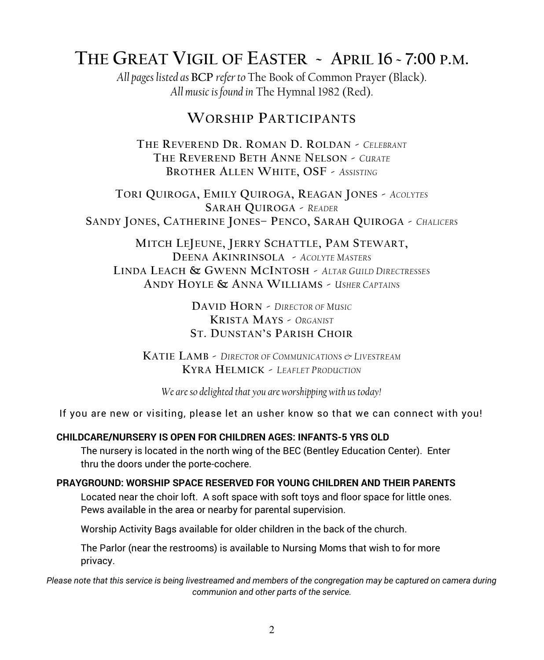## **THE GREAT VIGIL OF EASTER ~ APRIL 16 ~ 7:00 P.M.**

*All pages listed as* **BCP** *refer to* The Book of Common Prayer (Black). *All music is found in* The Hymnal 1982 (Red).

### **WORSHIP PARTICIPANTS**

**THE REVEREND DR. ROMAN D. ROLDAN -** *CELEBRANT* **THE REVEREND BETH ANNE NELSON -** *CURATE* **BROTHER ALLEN WHITE, OSF -** *ASSISTING*

**TORI QUIROGA, EMILY QUIROGA, REAGAN JONES -** *ACOLYTES* **SARAH QUIROGA -** *READER* **SANDY JONES, CATHERINE JONES– PENCO, SARAH QUIROGA -** *CHALICERS*

**MITCH LEJEUNE, JERRY SCHATTLE, PAM STEWART, DEENA AKINRINSOLA -** *ACOLYTE MASTERS* **LINDA LEACH & GWENN MCINTOSH -** *ALTAR GUILD DIRECTRESSES* **ANDY HOYLE & ANNA WILLIAMS -** *USHER CAPTAINS*

> **DAVID HORN -** *DIRECTOR OF MUSIC* **KRISTA MAYS -** *ORGANIST* **ST. DUNSTAN'S PARISH CHOIR**

**KATIE LAMB -** *DIRECTOR OF COMMUNICATIONS & LIVESTREAM* **KYRA HELMICK -** *LEAFLET PRODUCTION*

*We are so delighted that you are worshipping with us today!*

If you are new or visiting, please let an usher know so that we can connect with you!

**CHILDCARE/NURSERY IS OPEN FOR CHILDREN AGES: INFANTS-5 YRS OLD** 

The nursery is located in the north wing of the BEC (Bentley Education Center). Enter thru the doors under the porte-cochere.

#### **PRAYGROUND: WORSHIP SPACE RESERVED FOR YOUNG CHILDREN AND THEIR PARENTS**

Located near the choir loft. A soft space with soft toys and floor space for little ones. Pews available in the area or nearby for parental supervision.

Worship Activity Bags available for older children in the back of the church.

The Parlor (near the restrooms) is available to Nursing Moms that wish to for more privacy.

*Please note that this service is being livestreamed and members of the congregation may be captured on camera during communion and other parts of the service.*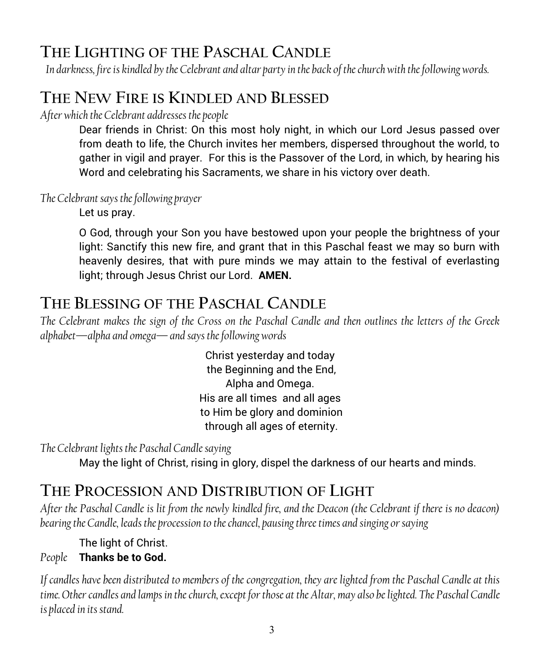## **THE LIGHTING OF THE PASCHAL CANDLE**

*In darkness, fire is kindled by the Celebrant and altar party in the back of the church with the following words.*

## **THE NEW FIRE IS KINDLED AND BLESSED**

*After which the Celebrant addresses the people*

Dear friends in Christ: On this most holy night, in which our Lord Jesus passed over from death to life, the Church invites her members, dispersed throughout the world, to gather in vigil and prayer. For this is the Passover of the Lord, in which, by hearing his Word and celebrating his Sacraments, we share in his victory over death.

#### *The Celebrant says the following prayer*

Let us pray.

O God, through your Son you have bestowed upon your people the brightness of your light: Sanctify this new fire, and grant that in this Paschal feast we may so burn with heavenly desires, that with pure minds we may attain to the festival of everlasting light; through Jesus Christ our Lord. **AMEN.**

## **THE BLESSING OF THE PASCHAL CANDLE**

*The Celebrant makes the sign of the Cross on the Paschal Candle and then outlines the letters of the Greek alphabet—alpha and omega—and says the following words*

> Christ yesterday and today the Beginning and the End, Alpha and Omega. His are all times and all ages to Him be glory and dominion through all ages of eternity.

*The Celebrant lights the Paschal Candle saying*

May the light of Christ, rising in glory, dispel the darkness of our hearts and minds.

## **THE PROCESSION AND DISTRIBUTION OF LIGHT**

*After the Paschal Candle is lit from the newly kindled fire, and the Deacon (the Celebrant if there is no deacon) bearing the Candle, leads the procession to the chancel, pausing three times and singing or saying*

The light of Christ.

### *People* **Thanks be to God.**

*If candles have been distributed to members of the congregation, they are lighted from the Paschal Candle at this time. Other candles and lamps in the church, except for those at the Altar, may also be lighted. The Paschal Candle is placed in its stand.*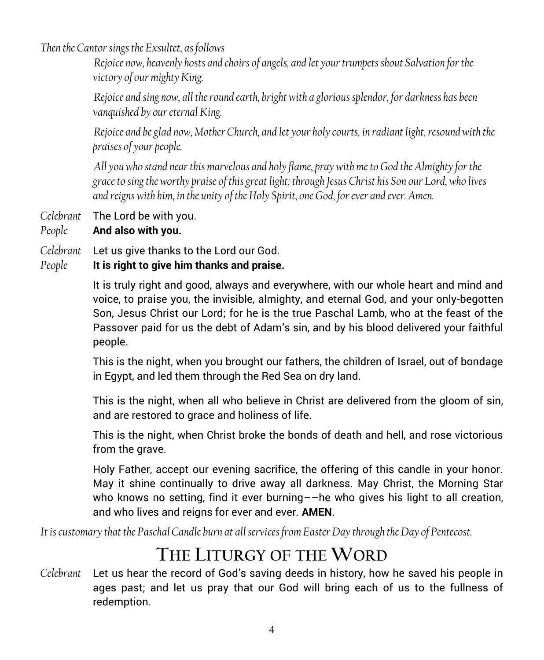*Then the Cantor sings the Exsultet, as follows* 

*Rejoice now, heavenly hosts and choirs of angels, and let your trumpets shout Salvation for the victory of our mighty King.* 

*Rejoice and sing now, all the round earth, bright with a glorious splendor, for darkness has been vanquished by our eternal King.* 

*Rejoice and be glad now, Mother Church, and let your holy courts, in radiant light, resound with the praises of your people.* 

*All you who stand near this marvelous and holy flame, pray with me to God the Almighty for the grace to sing the worthy praise of this great light; through Jesus Christ his Son our Lord, who lives and reigns with him, in the unity of the Holy Spirit, one God, for ever and ever. Amen.*

*Celebrant* The Lord be with you.

### *People* **And also with you.**

*Celebrant* Let us give thanks to the Lord our God.

### *People* **It is right to give him thanks and praise.**

It is truly right and good, always and everywhere, with our whole heart and mind and voice, to praise you, the invisible, almighty, and eternal God, and your only-begotten Son, Jesus Christ our Lord; for he is the true Paschal Lamb, who at the feast of the Passover paid for us the debt of Adam's sin, and by his blood delivered your faithful people.

This is the night, when you brought our fathers, the children of Israel, out of bondage in Egypt, and led them through the Red Sea on dry land.

This is the night, when all who believe in Christ are delivered from the gloom of sin, and are restored to grace and holiness of life.

This is the night, when Christ broke the bonds of death and hell, and rose victorious from the grave.

Holy Father, accept our evening sacrifice, the offering of this candle in your honor. May it shine continually to drive away all darkness. May Christ, the Morning Star who knows no setting, find it ever burning––he who gives his light to all creation, and who lives and reigns for ever and ever. **AMEN**.

*It is customary that the Paschal Candle burn at all services from Easter Day through the Day of Pentecost.*

## **THE LITURGY OF THE WORD**

*Celebrant* Let us hear the record of God's saving deeds in history, how he saved his people in ages past; and let us pray that our God will bring each of us to the fullness of redemption.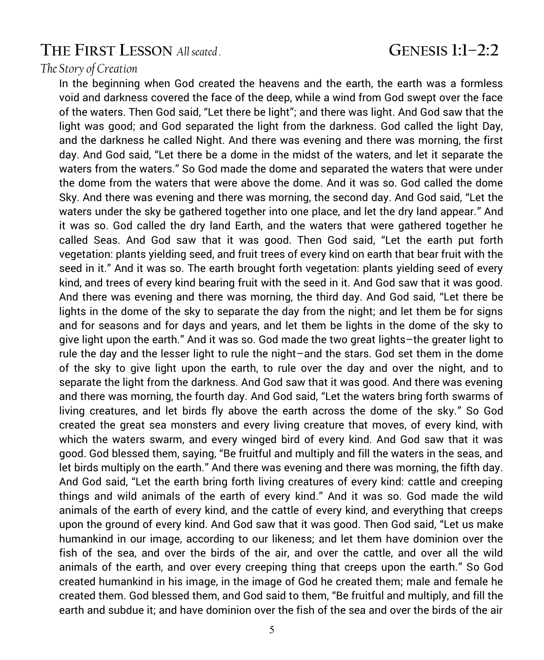## **THE FIRST LESSON** *All seated .* **GENESIS 1:1–2:2**

#### *The Story of Creation*

In the beginning when God created the heavens and the earth, the earth was a formless void and darkness covered the face of the deep, while a wind from God swept over the face of the waters. Then God said, "Let there be light"; and there was light. And God saw that the light was good; and God separated the light from the darkness. God called the light Day, and the darkness he called Night. And there was evening and there was morning, the first day. And God said, "Let there be a dome in the midst of the waters, and let it separate the waters from the waters." So God made the dome and separated the waters that were under the dome from the waters that were above the dome. And it was so. God called the dome Sky. And there was evening and there was morning, the second day. And God said, "Let the waters under the sky be gathered together into one place, and let the dry land appear." And it was so. God called the dry land Earth, and the waters that were gathered together he called Seas. And God saw that it was good. Then God said, "Let the earth put forth vegetation: plants yielding seed, and fruit trees of every kind on earth that bear fruit with the seed in it." And it was so. The earth brought forth vegetation: plants yielding seed of every kind, and trees of every kind bearing fruit with the seed in it. And God saw that it was good. And there was evening and there was morning, the third day. And God said, "Let there be lights in the dome of the sky to separate the day from the night; and let them be for signs and for seasons and for days and years, and let them be lights in the dome of the sky to give light upon the earth." And it was so. God made the two great lights–the greater light to rule the day and the lesser light to rule the night–and the stars. God set them in the dome of the sky to give light upon the earth, to rule over the day and over the night, and to separate the light from the darkness. And God saw that it was good. And there was evening and there was morning, the fourth day. And God said, "Let the waters bring forth swarms of living creatures, and let birds fly above the earth across the dome of the sky." So God created the great sea monsters and every living creature that moves, of every kind, with which the waters swarm, and every winged bird of every kind. And God saw that it was good. God blessed them, saying, "Be fruitful and multiply and fill the waters in the seas, and let birds multiply on the earth." And there was evening and there was morning, the fifth day. And God said, "Let the earth bring forth living creatures of every kind: cattle and creeping things and wild animals of the earth of every kind." And it was so. God made the wild animals of the earth of every kind, and the cattle of every kind, and everything that creeps upon the ground of every kind. And God saw that it was good. Then God said, "Let us make humankind in our image, according to our likeness; and let them have dominion over the fish of the sea, and over the birds of the air, and over the cattle, and over all the wild animals of the earth, and over every creeping thing that creeps upon the earth." So God created humankind in his image, in the image of God he created them; male and female he created them. God blessed them, and God said to them, "Be fruitful and multiply, and fill the earth and subdue it; and have dominion over the fish of the sea and over the birds of the air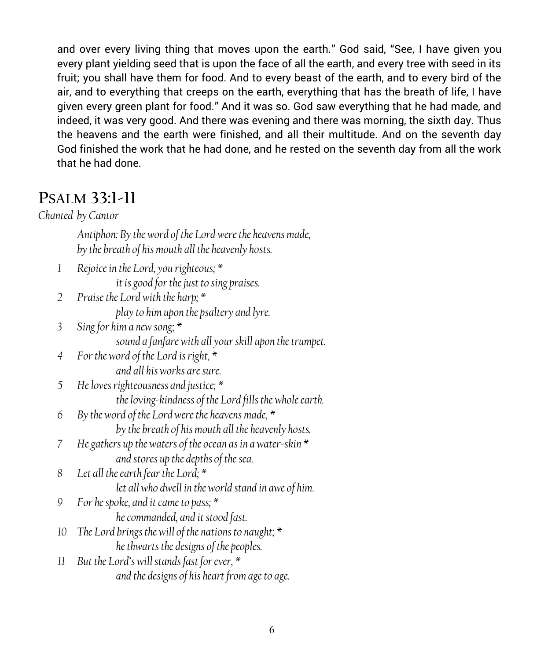and over every living thing that moves upon the earth." God said, "See, I have given you every plant yielding seed that is upon the face of all the earth, and every tree with seed in its fruit; you shall have them for food. And to every beast of the earth, and to every bird of the air, and to everything that creeps on the earth, everything that has the breath of life, I have given every green plant for food." And it was so. God saw everything that he had made, and indeed, it was very good. And there was evening and there was morning, the sixth day. Thus the heavens and the earth were finished, and all their multitude. And on the seventh day God finished the work that he had done, and he rested on the seventh day from all the work that he had done.

## **PSALM 33:1-11**

*Chanted by Cantor*

*Antiphon: By the word of the Lord were the heavens made, by the breath of his mouth all the heavenly hosts.*

- *1 Rejoice in the Lord, you righteous; \* it is good for the just to sing praises.*
- *2 Praise the Lord with the harp; \* play to him upon the psaltery and lyre.*
- *3 Sing for him a new song; \* sound a fanfare with all your skill upon the trumpet.*
- *4 For the word of the Lord is right, \* and all his works are sure.*
- *5 He loves righteousness and justice; \* the loving-kindness of the Lord fills the whole earth.*
- *6 By the word of the Lord were the heavens made, \* by the breath of his mouth all the heavenly hosts.*
- *7 He gathers up the waters of the ocean as in a water-skin \* and stores up the depths of the sea.*
- *8 Let all the earth fear the Lord; \* let all who dwell in the world stand in awe of him.*
- *9 For he spoke, and it came to pass; \* he commanded, and it stood fast.*
- *10 The Lord brings the will of the nations to naught; \* he thwarts the designs of the peoples.*
- *11 But the Lord's will stands fast for ever, \* and the designs of his heart from age to age.*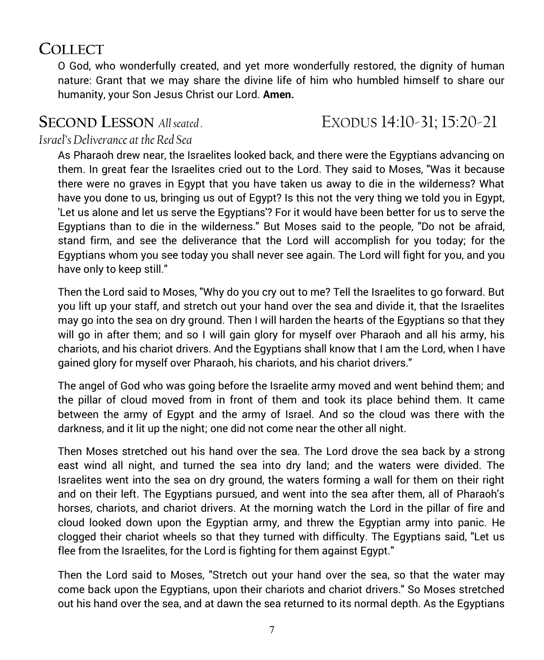## **COLLECT**

O God, who wonderfully created, and yet more wonderfully restored, the dignity of human nature: Grant that we may share the divine life of him who humbled himself to share our humanity, your Son Jesus Christ our Lord. **Amen.**

**SECOND LESSON** *All seated .* EXODUS 14:10-31; 15:20-21

### *Israel's Deliverance at the Red Sea*

As Pharaoh drew near, the Israelites looked back, and there were the Egyptians advancing on them. In great fear the Israelites cried out to the Lord. They said to Moses, "Was it because there were no graves in Egypt that you have taken us away to die in the wilderness? What have you done to us, bringing us out of Egypt? Is this not the very thing we told you in Egypt, 'Let us alone and let us serve the Egyptians'? For it would have been better for us to serve the Egyptians than to die in the wilderness." But Moses said to the people, "Do not be afraid, stand firm, and see the deliverance that the Lord will accomplish for you today; for the Egyptians whom you see today you shall never see again. The Lord will fight for you, and you have only to keep still."

Then the Lord said to Moses, "Why do you cry out to me? Tell the Israelites to go forward. But you lift up your staff, and stretch out your hand over the sea and divide it, that the Israelites may go into the sea on dry ground. Then I will harden the hearts of the Egyptians so that they will go in after them; and so I will gain glory for myself over Pharaoh and all his army, his chariots, and his chariot drivers. And the Egyptians shall know that I am the Lord, when I have gained glory for myself over Pharaoh, his chariots, and his chariot drivers."

The angel of God who was going before the Israelite army moved and went behind them; and the pillar of cloud moved from in front of them and took its place behind them. It came between the army of Egypt and the army of Israel. And so the cloud was there with the darkness, and it lit up the night; one did not come near the other all night.

Then Moses stretched out his hand over the sea. The Lord drove the sea back by a strong east wind all night, and turned the sea into dry land; and the waters were divided. The Israelites went into the sea on dry ground, the waters forming a wall for them on their right and on their left. The Egyptians pursued, and went into the sea after them, all of Pharaoh's horses, chariots, and chariot drivers. At the morning watch the Lord in the pillar of fire and cloud looked down upon the Egyptian army, and threw the Egyptian army into panic. He clogged their chariot wheels so that they turned with difficulty. The Egyptians said, "Let us flee from the Israelites, for the Lord is fighting for them against Egypt."

Then the Lord said to Moses, "Stretch out your hand over the sea, so that the water may come back upon the Egyptians, upon their chariots and chariot drivers." So Moses stretched out his hand over the sea, and at dawn the sea returned to its normal depth. As the Egyptians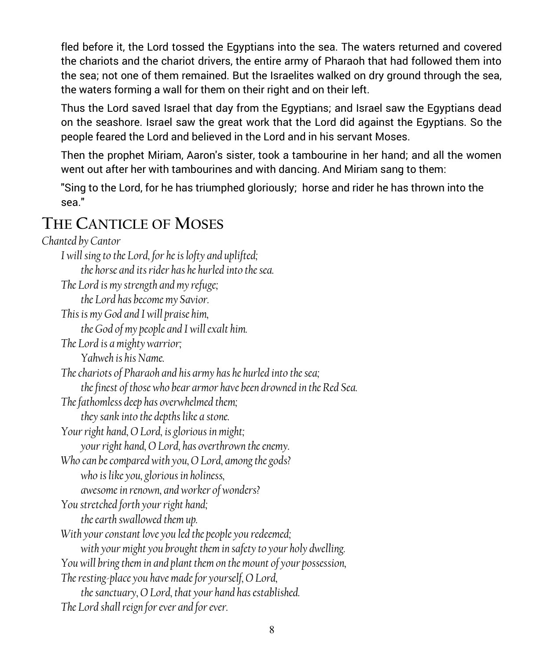fled before it, the Lord tossed the Egyptians into the sea. The waters returned and covered the chariots and the chariot drivers, the entire army of Pharaoh that had followed them into the sea; not one of them remained. But the Israelites walked on dry ground through the sea, the waters forming a wall for them on their right and on their left.

Thus the Lord saved Israel that day from the Egyptians; and Israel saw the Egyptians dead on the seashore. Israel saw the great work that the Lord did against the Egyptians. So the people feared the Lord and believed in the Lord and in his servant Moses.

Then the prophet Miriam, Aaron's sister, took a tambourine in her hand; and all the women went out after her with tambourines and with dancing. And Miriam sang to them:

"Sing to the Lord, for he has triumphed gloriously; horse and rider he has thrown into the sea."

## **THE CANTICLE OF MOSES**

*Chanted by Cantor I will sing to the Lord, for he is lofty and uplifted; the horse and its rider has he hurled into the sea. The Lord is my strength and my refuge; the Lord has become my Savior. This is my God and I will praise him, the God of my people and I will exalt him. The Lord is a mighty warrior; Yahweh is his Name. The chariots of Pharaoh and his army has he hurled into the sea; the finest of those who bear armor have been drowned in the Red Sea. The fathomless deep has overwhelmed them; they sank into the depths like a stone. Your right hand, O Lord, is glorious in might; your right hand, O Lord, has overthrown the enemy. Who can be compared with you, O Lord, among the gods? who is like you, glorious in holiness, awesome in renown, and worker of wonders? You stretched forth your right hand; the earth swallowed them up. With your constant love you led the people you redeemed; with your might you brought them in safety to your holy dwelling. You will bring them in and plant them on the mount of your possession, The resting-place you have made for yourself, O Lord, the sanctuary, O Lord, that your hand has established. The Lord shall reign for ever and for ever.*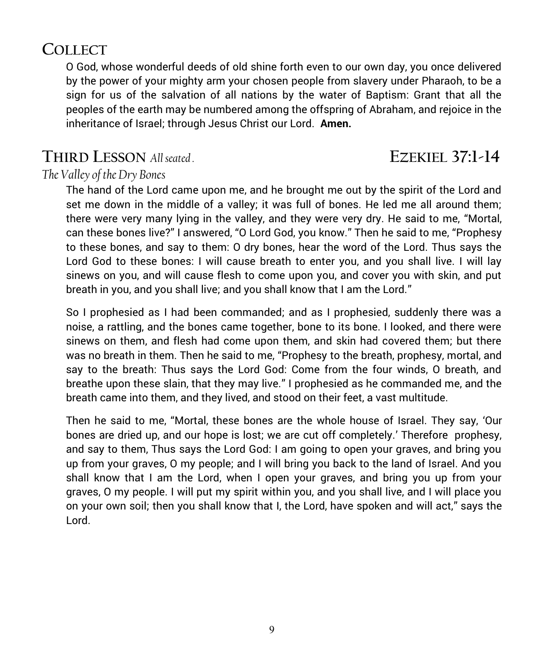## **COLLECT**

O God, whose wonderful deeds of old shine forth even to our own day, you once delivered by the power of your mighty arm your chosen people from slavery under Pharaoh, to be a sign for us of the salvation of all nations by the water of Baptism: Grant that all the peoples of the earth may be numbered among the offspring of Abraham, and rejoice in the inheritance of Israel; through Jesus Christ our Lord. **Amen.**

## **THIRD LESSON** *All seated .* **EZEKIEL 37:1-14**

### *The Valley of the Dry Bones*

The hand of the Lord came upon me, and he brought me out by the spirit of the Lord and set me down in the middle of a valley; it was full of bones. He led me all around them; there were very many lying in the valley, and they were very dry. He said to me, "Mortal, can these bones live?" I answered, "O Lord God, you know." Then he said to me, "Prophesy to these bones, and say to them: O dry bones, hear the word of the Lord. Thus says the Lord God to these bones: I will cause breath to enter you, and you shall live. I will lay sinews on you, and will cause flesh to come upon you, and cover you with skin, and put breath in you, and you shall live; and you shall know that I am the Lord."

So I prophesied as I had been commanded; and as I prophesied, suddenly there was a noise, a rattling, and the bones came together, bone to its bone. I looked, and there were sinews on them, and flesh had come upon them, and skin had covered them; but there was no breath in them. Then he said to me, "Prophesy to the breath, prophesy, mortal, and say to the breath: Thus says the Lord God: Come from the four winds, O breath, and breathe upon these slain, that they may live." I prophesied as he commanded me, and the breath came into them, and they lived, and stood on their feet, a vast multitude.

Then he said to me, "Mortal, these bones are the whole house of Israel. They say, 'Our bones are dried up, and our hope is lost; we are cut off completely.' Therefore prophesy, and say to them, Thus says the Lord God: I am going to open your graves, and bring you up from your graves, O my people; and I will bring you back to the land of Israel. And you shall know that I am the Lord, when I open your graves, and bring you up from your graves, O my people. I will put my spirit within you, and you shall live, and I will place you on your own soil; then you shall know that I, the Lord, have spoken and will act," says the Lord.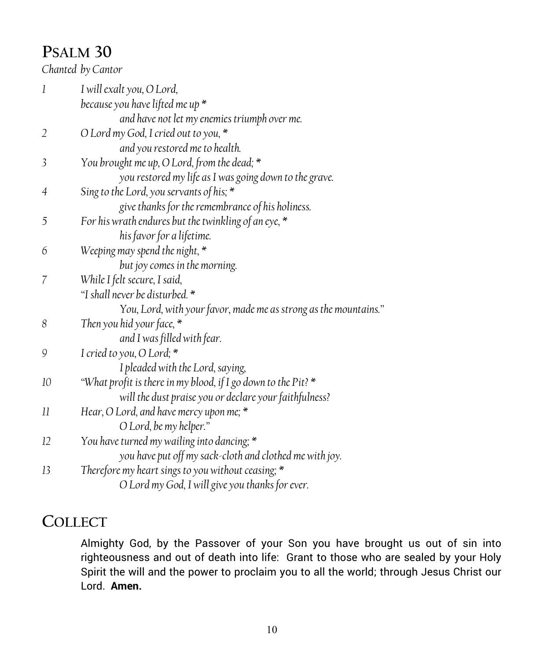## **PSALM 30**  *Chanted by Cantor*

| $\boldsymbol{l}$ | I will exalt you, O Lord,                                        |
|------------------|------------------------------------------------------------------|
|                  | because you have lifted me up *                                  |
|                  | and have not let my enemies triumph over me.                     |
| $\overline{2}$   | O Lord my God, I cried out to you, *                             |
|                  | and you restored me to health.                                   |
| 3                | You brought me up, O Lord, from the dead; *                      |
|                  | you restored my life as I was going down to the grave.           |
| 4                | Sing to the Lord, you servants of his; *                         |
|                  | give thanks for the remembrance of his holiness.                 |
| 5                | For his wrath endures but the twinkling of an eye, *             |
|                  | his favor for a lifetime.                                        |
| 6                | Weeping may spend the night, *                                   |
|                  | but joy comes in the morning.                                    |
| 7                | While I felt secure, I said,                                     |
|                  | "I shall never be disturbed. *                                   |
|                  | You, Lord, with your favor, made me as strong as the mountains." |
| 8                | Then you hid your face, $*$                                      |
|                  | and I was filled with fear.                                      |
| 9                | I cried to you, O Lord; *                                        |
|                  | I pleaded with the Lord, saying,                                 |
| 10               | "What profit is there in my blood, if I go down to the Pit? *    |
|                  | will the dust praise you or declare your faithfulness?           |
| 11               | Hear, O Lord, and have mercy upon me; *                          |
|                  | O Lord, be my helper."                                           |
| 12               | You have turned my wailing into dancing; *                       |
|                  | you have put off my sack-cloth and clothed me with joy.          |
| 13               | Therefore my heart sings to you without ceasing; *               |
|                  | O Lord my God, I will give you thanks for ever.                  |

## **COLLECT**

Almighty God, by the Passover of your Son you have brought us out of sin into righteousness and out of death into life: Grant to those who are sealed by your Holy Spirit the will and the power to proclaim you to all the world; through Jesus Christ our Lord. **Amen.**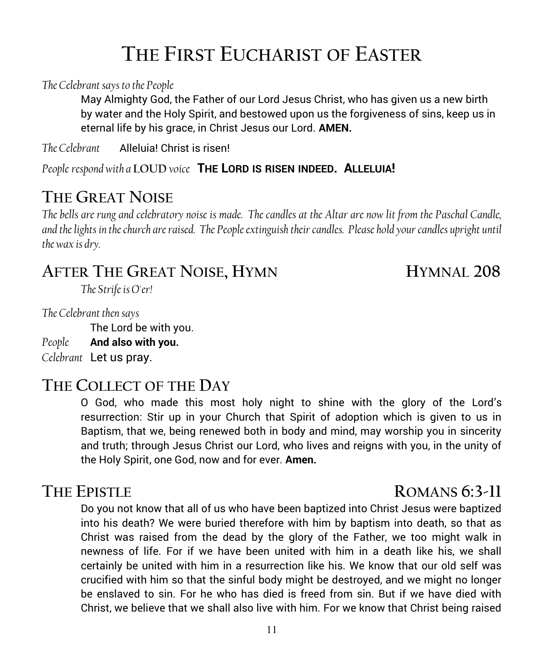# **THE FIRST EUCHARIST OF EASTER**

*The Celebrant says to the People*

May Almighty God, the Father of our Lord Jesus Christ, who has given us a new birth by water and the Holy Spirit, and bestowed upon us the forgiveness of sins, keep us in eternal life by his grace, in Christ Jesus our Lord. **AMEN.** 

*The Celebrant* Alleluia! Christ is risen!

*People respond with a* **LOUD** *voice* **THE LORD IS RISEN INDEED. ALLELUIA!**

## **THE GREAT NOISE**

*The bells are rung and celebratory noise is made. The candles at the Altar are now lit from the Paschal Candle, and the lights in the church are raised. The People extinguish their candles. Please hold your candles upright until the wax is dry.*

## **AFTER THE GREAT NOISE, HYMN****HYMNAL 208**

*The Celebrant then says*

The Lord be with you.

### *People* **And also with you.**

*The Strife is O'er!*

*Celebrant* Let us pray.

## **THE COLLECT OF THE DAY**

O God, who made this most holy night to shine with the glory of the Lord's resurrection: Stir up in your Church that Spirit of adoption which is given to us in Baptism, that we, being renewed both in body and mind, may worship you in sincerity and truth; through Jesus Christ our Lord, who lives and reigns with you, in the unity of the Holy Spirit, one God, now and for ever. **Amen.**

## **THE EPISTLE ROMANS 6:3-11**

Do you not know that all of us who have been baptized into Christ Jesus were baptized into his death? We were buried therefore with him by baptism into death, so that as Christ was raised from the dead by the glory of the Father, we too might walk in newness of life. For if we have been united with him in a death like his, we shall certainly be united with him in a resurrection like his. We know that our old self was crucified with him so that the sinful body might be destroyed, and we might no longer be enslaved to sin. For he who has died is freed from sin. But if we have died with Christ, we believe that we shall also live with him. For we know that Christ being raised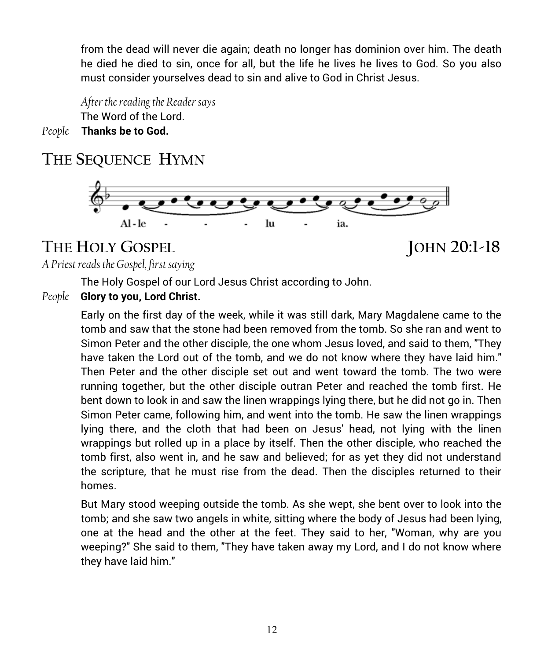from the dead will never die again; death no longer has dominion over him. The death he died he died to sin, once for all, but the life he lives he lives to God. So you also must consider yourselves dead to sin and alive to God in Christ Jesus.

*After the reading the Reader says* The Word of the Lord.

*People* **Thanks be to God.**

## **THE SEQUENCE HYMN**



## **THE HOLY GOSPEL JOHN 20:1-18**

*A Priest reads the Gospel, first saying*

The Holy Gospel of our Lord Jesus Christ according to John.

### *People* **Glory to you, Lord Christ.**

Early on the first day of the week, while it was still dark, Mary Magdalene came to the tomb and saw that the stone had been removed from the tomb. So she ran and went to Simon Peter and the other disciple, the one whom Jesus loved, and said to them, "They have taken the Lord out of the tomb, and we do not know where they have laid him." Then Peter and the other disciple set out and went toward the tomb. The two were running together, but the other disciple outran Peter and reached the tomb first. He bent down to look in and saw the linen wrappings lying there, but he did not go in. Then Simon Peter came, following him, and went into the tomb. He saw the linen wrappings lying there, and the cloth that had been on Jesus' head, not lying with the linen wrappings but rolled up in a place by itself. Then the other disciple, who reached the tomb first, also went in, and he saw and believed; for as yet they did not understand the scripture, that he must rise from the dead. Then the disciples returned to their homes.

But Mary stood weeping outside the tomb. As she wept, she bent over to look into the tomb; and she saw two angels in white, sitting where the body of Jesus had been lying, one at the head and the other at the feet. They said to her, "Woman, why are you weeping?" She said to them, "They have taken away my Lord, and I do not know where they have laid him."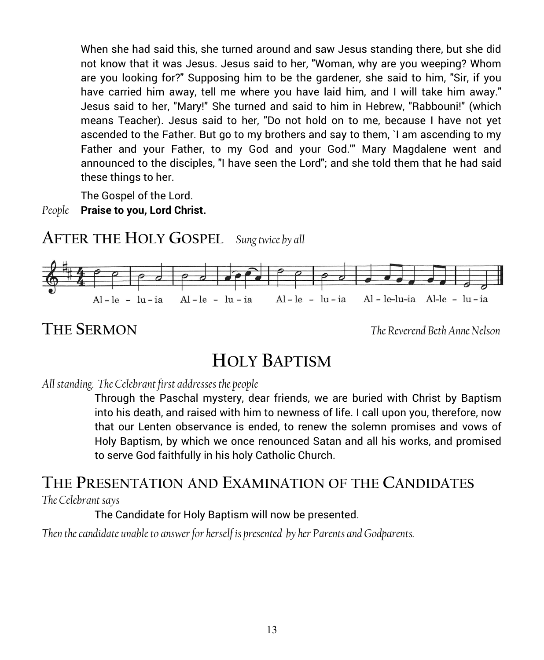When she had said this, she turned around and saw Jesus standing there, but she did not know that it was Jesus. Jesus said to her, "Woman, why are you weeping? Whom are you looking for?" Supposing him to be the gardener, she said to him, "Sir, if you have carried him away, tell me where you have laid him, and I will take him away." Jesus said to her, "Mary!" She turned and said to him in Hebrew, "Rabbouni!" (which means Teacher). Jesus said to her, "Do not hold on to me, because I have not yet ascended to the Father. But go to my brothers and say to them, `I am ascending to my Father and your Father, to my God and your God.'" Mary Magdalene went and announced to the disciples, "I have seen the Lord"; and she told them that he had said these things to her.

The Gospel of the Lord.

*People* **Praise to you, Lord Christ.** 

**AFTER THE HOLY GOSPEL** *Sung twice by all*



**THE SERMON** *The Reverend Beth Anne Nelson*

## **HOLY BAPTISM**

#### *All standing. The Celebrant first addresses the people*

Through the Paschal mystery, dear friends, we are buried with Christ by Baptism into his death, and raised with him to newness of life. I call upon you, therefore, now that our Lenten observance is ended, to renew the solemn promises and vows of Holy Baptism, by which we once renounced Satan and all his works, and promised to serve God faithfully in his holy Catholic Church.

# **THE PRESENTATION AND EXAMINATION OF THE CANDIDATES**

*The Celebrant says*

The Candidate for Holy Baptism will now be presented.

*Then the candidate unable to answer for herself is presented by her Parents and Godparents.*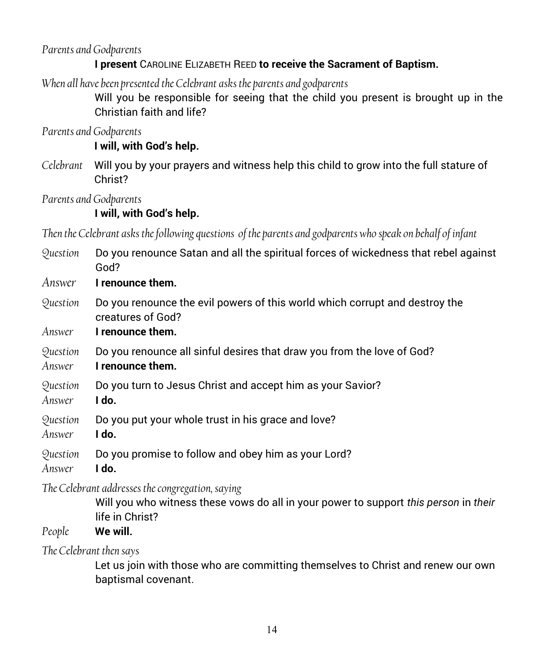#### *Parents and Godparents*

#### **I present** CAROLINE ELIZABETH REED **to receive the Sacrament of Baptism.**

*When all have been presented the Celebrant asks the parents and godparents*

Will you be responsible for seeing that the child you present is brought up in the Christian faith and life?

*Parents and Godparents*

### **I will, with God's help.**

*Celebrant* Will you by your prayers and witness help this child to grow into the full stature of Christ?

*Parents and Godparents*

### **I will, with God's help.**

*Then the Celebrant asks the following questions of the parents and godparents who speak on behalf of infant*

| Question                | Do you renounce Satan and all the spiritual forces of wickedness that rebel against<br>God?                                                                 |
|-------------------------|-------------------------------------------------------------------------------------------------------------------------------------------------------------|
| Answer                  | I renounce them.                                                                                                                                            |
| Question                | Do you renounce the evil powers of this world which corrupt and destroy the<br>creatures of God?                                                            |
| Answer                  | I renounce them.                                                                                                                                            |
| Question<br>Answer      | Do you renounce all sinful desires that draw you from the love of God?<br>I renounce them.                                                                  |
| Question<br>Answer      | Do you turn to Jesus Christ and accept him as your Savior?<br>I do.                                                                                         |
| Question<br>Answer      | Do you put your whole trust in his grace and love?<br>I do.                                                                                                 |
| Question<br>Answer      | Do you promise to follow and obey him as your Lord?<br>I do.                                                                                                |
|                         | The Celebrant addresses the congregation, saying<br>Will you who witness these vows do all in your power to support this person in their<br>life in Christ? |
| People                  | We will.                                                                                                                                                    |
| The Celebrant then says |                                                                                                                                                             |

Let us join with those who are committing themselves to Christ and renew our own baptismal covenant.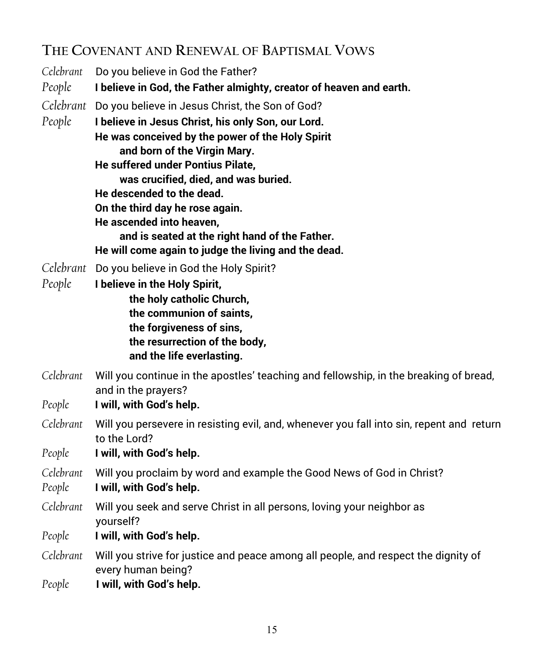## **THE COVENANT AND RENEWAL OF BAPTISMAL VOWS**

| Celebrant           | Do you believe in God the Father?                                                                                                      |
|---------------------|----------------------------------------------------------------------------------------------------------------------------------------|
| People              | I believe in God, the Father almighty, creator of heaven and earth.                                                                    |
| Celebrant           | Do you believe in Jesus Christ, the Son of God?                                                                                        |
| People              | I believe in Jesus Christ, his only Son, our Lord.<br>He was conceived by the power of the Holy Spirit<br>and born of the Virgin Mary. |
|                     | He suffered under Pontius Pilate,<br>was crucified, died, and was buried.                                                              |
|                     | He descended to the dead.<br>On the third day he rose again.                                                                           |
|                     | He ascended into heaven,                                                                                                               |
|                     | and is seated at the right hand of the Father.                                                                                         |
|                     | He will come again to judge the living and the dead.                                                                                   |
| Celebrant           | Do you believe in God the Holy Spirit?                                                                                                 |
| People              | I believe in the Holy Spirit,                                                                                                          |
|                     | the holy catholic Church,<br>the communion of saints,                                                                                  |
|                     | the forgiveness of sins,                                                                                                               |
|                     | the resurrection of the body,                                                                                                          |
|                     | and the life everlasting.                                                                                                              |
| Celebrant           | Will you continue in the apostles' teaching and fellowship, in the breaking of bread,<br>and in the prayers?                           |
| People              | I will, with God's help.                                                                                                               |
| Celebrant           | Will you persevere in resisting evil, and, whenever you fall into sin, repent and return<br>to the Lord?                               |
| People              | I will, with God's help.                                                                                                               |
| Celebrant<br>People | Will you proclaim by word and example the Good News of God in Christ?<br>I will, with God's help.                                      |
| Celebrant           | Will you seek and serve Christ in all persons, loving your neighbor as<br>yourself?                                                    |
| People              | I will, with God's help.                                                                                                               |
| Celebrant           | Will you strive for justice and peace among all people, and respect the dignity of<br>every human being?                               |
| People              | I will, with God's help.                                                                                                               |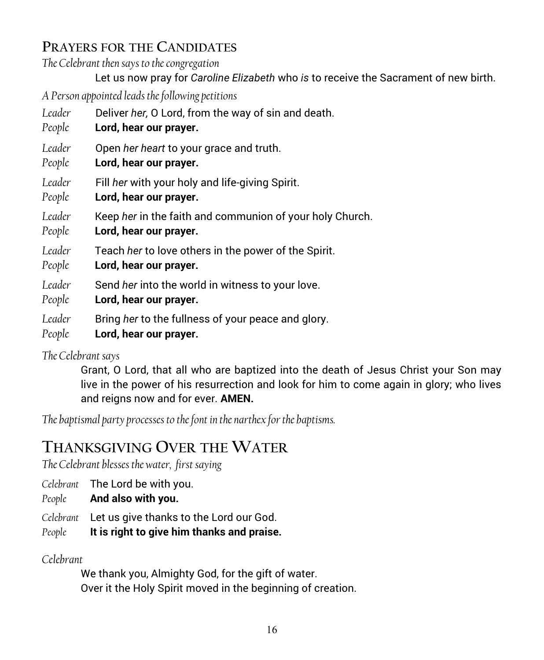### **PRAYERS FOR THE CANDIDATES**

*The Celebrant then says to the congregation*

Let us now pray for *Caroline Elizabeth* who *is* to receive the Sacrament of new birth.

*A Person appointed leads the following petitions*

- *Leader* Deliver *her,* O Lord, from the way of sin and death.
- *People* **Lord, hear our prayer.**
- *Leader* Open *her heart* to your grace and truth.
- *People* **Lord, hear our prayer.**
- *Leader* Fill *her* with your holy and life-giving Spirit.
- *People* **Lord, hear our prayer.**
- *Leader* Keep *her* in the faith and communion of your holy Church.
- *People* **Lord, hear our prayer.**
- *Leader* Teach *her* to love others in the power of the Spirit.
- *People* **Lord, hear our prayer.**
- *Leader* Send *her* into the world in witness to your love.
- *People* **Lord, hear our prayer.**
- *Leader* Bring *her* to the fullness of your peace and glory.
- *People* **Lord, hear our prayer.**

*The Celebrant says*

Grant, O Lord, that all who are baptized into the death of Jesus Christ your Son may live in the power of his resurrection and look for him to come again in glory; who lives and reigns now and for ever. **AMEN.**

*The baptismal party processes to the font in the narthex for the baptisms.*

## **THANKSGIVING OVER THE WATER**

*The Celebrant blesses the water, first saying*

- *Celebrant* The Lord be with you.
- *People* **And also with you.**
- *Celebrant* Let us give thanks to the Lord our God.
- *People* **It is right to give him thanks and praise.**

*Celebrant*

We thank you, Almighty God, for the gift of water. Over it the Holy Spirit moved in the beginning of creation.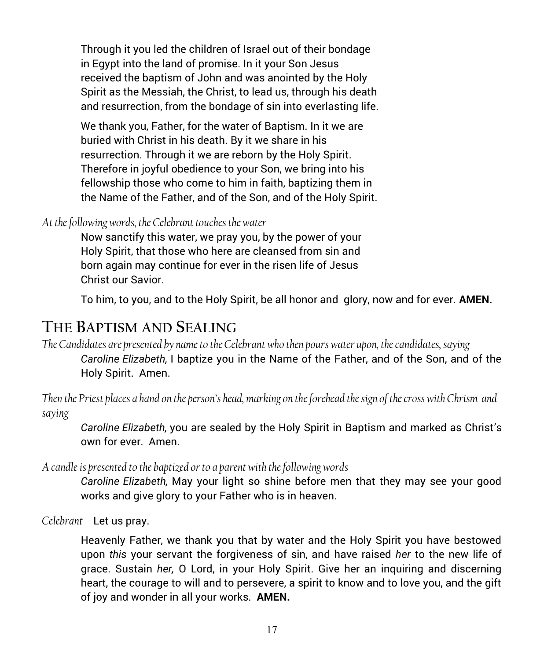Through it you led the children of Israel out of their bondage in Egypt into the land of promise. In it your Son Jesus received the baptism of John and was anointed by the Holy Spirit as the Messiah, the Christ, to lead us, through his death and resurrection, from the bondage of sin into everlasting life.

We thank you, Father, for the water of Baptism. In it we are buried with Christ in his death. By it we share in his resurrection. Through it we are reborn by the Holy Spirit. Therefore in joyful obedience to your Son, we bring into his fellowship those who come to him in faith, baptizing them in the Name of the Father, and of the Son, and of the Holy Spirit.

*At the following words, the Celebrant touches the water*

Now sanctify this water, we pray you, by the power of your Holy Spirit, that those who here are cleansed from sin and born again may continue for ever in the risen life of Jesus Christ our Savior.

To him, to you, and to the Holy Spirit, be all honor and glory, now and for ever. **AMEN.**

## **THE BAPTISM AND SEALING**

*The Candidates are presented by name to the Celebrant who then pours water upon, the candidates, saying Caroline Elizabeth,* I baptize you in the Name of the Father, and of the Son, and of the Holy Spirit. Amen.

*Then the Priest places a hand on the person's head, marking on the forehead the sign of the cross with Chrism and saying* 

*Caroline Elizabeth,* you are sealed by the Holy Spirit in Baptism and marked as Christ's own for ever. Amen.

*A candle is presented to the baptized or to a parent with the following words*

*Caroline Elizabeth,* May your light so shine before men that they may see your good works and give glory to your Father who is in heaven.

*Celebrant* Let us pray.

Heavenly Father, we thank you that by water and the Holy Spirit you have bestowed upon *this* your servant the forgiveness of sin, and have raised *her* to the new life of grace. Sustain *her,* O Lord, in your Holy Spirit. Give her an inquiring and discerning heart, the courage to will and to persevere, a spirit to know and to love you, and the gift of joy and wonder in all your works. **AMEN.**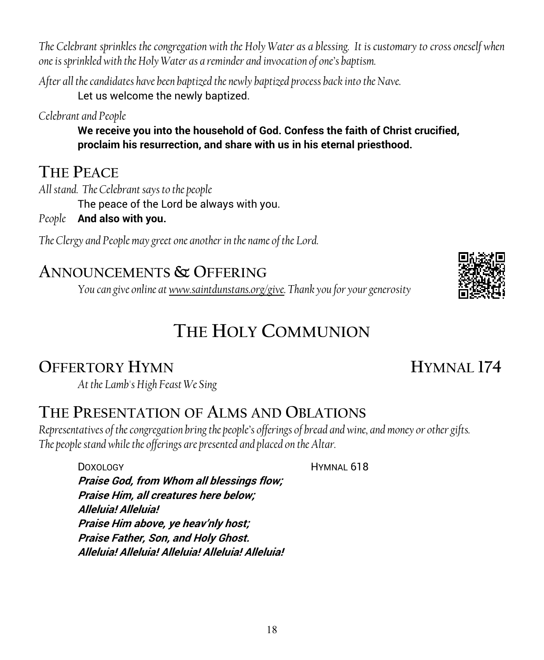*The Celebrant sprinkles the congregation with the Holy Water as a blessing. It is customary to cross oneself when one is sprinkled with the Holy Water as a reminder and invocation of one's baptism.*

*After all the candidates have been baptized the newly baptized process back into the Nave.* Let us welcome the newly baptized.

*Celebrant and People*

**We receive you into the household of God. Confess the faith of Christ crucified, proclaim his resurrection, and share with us in his eternal priesthood.**

## **THE PEACE**

*All stand. The Celebrant says to the people* The peace of the Lord be always with you. *People* **And also with you.**

*The Clergy and People may greet one another in the name of the Lord.*

## **ANNOUNCEMENTS & OFFERING**

*You can give online at [www.saintdunstans.org/give.](http://www.saintdunstans.org/give) Thank you for your generosity*

## **THE HOLY COMMUNION**

## **OFFERTORY HYMN HYMNAL 174**

*At the Lamb's High Feast We Sing* 

## **THE PRESENTATION OF ALMS AND OBLATIONS**

*Representatives of the congregation bring the people's offerings of bread and wine, and money or other gifts. The people stand while the offerings are presented and placed on the Altar.*

DOXOLOGY NEWSLEY AND THE HYMNAL 618

**Praise God, from Whom all blessings flow; Praise Him, all creatures here below; Alleluia! Alleluia! Praise Him above, ye heav'nly host; Praise Father, Son, and Holy Ghost. Alleluia! Alleluia! Alleluia! Alleluia! Alleluia!**

18

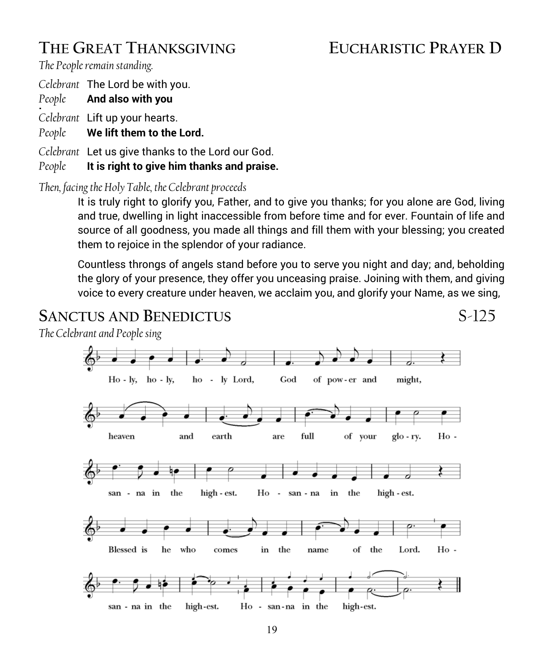## **THE GREAT THANKSGIVING EUCHARISTIC PRAYER D**

*The People remain standing.* 

*Celebrant* The Lord be with you.

*People* **And also with you .**

*Celebrant* Lift up your hearts.

*People* **We lift them to the Lord.**

*Celebrant* Let us give thanks to the Lord our God.

*People* **It is right to give him thanks and praise.**

*Then, facing the Holy Table, the Celebrant proceeds*

It is truly right to glorify you, Father, and to give you thanks; for you alone are God, living and true, dwelling in light inaccessible from before time and for ever. Fountain of life and source of all goodness, you made all things and fill them with your blessing; you created them to rejoice in the splendor of your radiance.

Countless throngs of angels stand before you to serve you night and day; and, beholding the glory of your presence, they offer you unceasing praise. Joining with them, and giving voice to every creature under heaven, we acclaim you, and glorify your Name, as we sing,

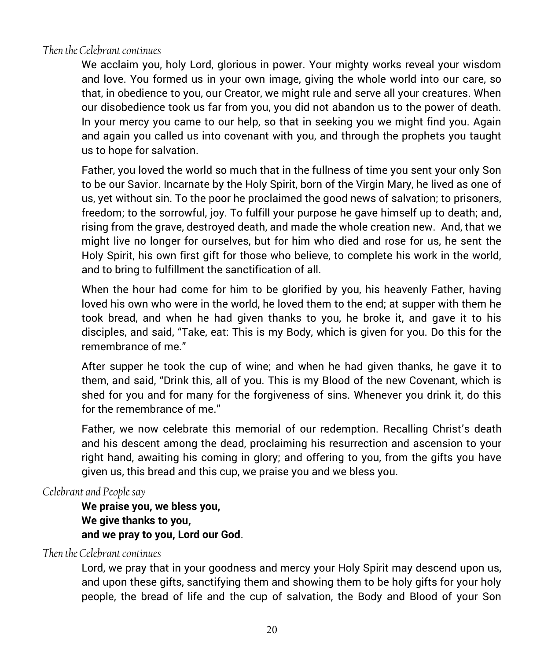#### *Then the Celebrant continues*

We acclaim you, holy Lord, glorious in power. Your mighty works reveal your wisdom and love. You formed us in your own image, giving the whole world into our care, so that, in obedience to you, our Creator, we might rule and serve all your creatures. When our disobedience took us far from you, you did not abandon us to the power of death. In your mercy you came to our help, so that in seeking you we might find you. Again and again you called us into covenant with you, and through the prophets you taught us to hope for salvation.

Father, you loved the world so much that in the fullness of time you sent your only Son to be our Savior. Incarnate by the Holy Spirit, born of the Virgin Mary, he lived as one of us, yet without sin. To the poor he proclaimed the good news of salvation; to prisoners, freedom; to the sorrowful, joy. To fulfill your purpose he gave himself up to death; and, rising from the grave, destroyed death, and made the whole creation new. And, that we might live no longer for ourselves, but for him who died and rose for us, he sent the Holy Spirit, his own first gift for those who believe, to complete his work in the world, and to bring to fulfillment the sanctification of all.

When the hour had come for him to be glorified by you, his heavenly Father, having loved his own who were in the world, he loved them to the end; at supper with them he took bread, and when he had given thanks to you, he broke it, and gave it to his disciples, and said, "Take, eat: This is my Body, which is given for you. Do this for the remembrance of me."

After supper he took the cup of wine; and when he had given thanks, he gave it to them, and said, "Drink this, all of you. This is my Blood of the new Covenant, which is shed for you and for many for the forgiveness of sins. Whenever you drink it, do this for the remembrance of me."

Father, we now celebrate this memorial of our redemption. Recalling Christ's death and his descent among the dead, proclaiming his resurrection and ascension to your right hand, awaiting his coming in glory; and offering to you, from the gifts you have given us, this bread and this cup, we praise you and we bless you.

#### *Celebrant and People say*

**We praise you, we bless you, We give thanks to you, and we pray to you, Lord our God**.

#### *Then the Celebrant continues*

Lord, we pray that in your goodness and mercy your Holy Spirit may descend upon us, and upon these gifts, sanctifying them and showing them to be holy gifts for your holy people, the bread of life and the cup of salvation, the Body and Blood of your Son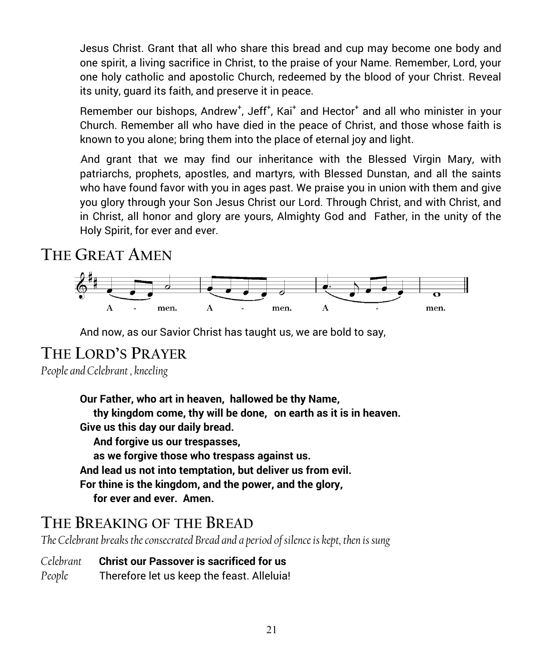Jesus Christ. Grant that all who share this bread and cup may become one body and one spirit, a living sacrifice in Christ, to the praise of your Name. Remember, Lord, your one holy catholic and apostolic Church, redeemed by the blood of your Christ. Reveal its unity, guard its faith, and preserve it in peace.

Remember our bishops, Andrew<sup>+</sup>, Jeff<sup>+</sup>, Kai<sup>+</sup> and Hector<sup>+</sup> and all who minister in your Church. Remember all who have died in the peace of Christ, and those whose faith is known to you alone; bring them into the place of eternal joy and light.

,And grant that we may find our inheritance with the Blessed Virgin Mary, with patriarchs, prophets, apostles, and martyrs, with Blessed Dunstan, and all the saints who have found favor with you in ages past. We praise you in union with them and give you glory through your Son Jesus Christ our Lord. Through Christ, and with Christ, and in Christ, all honor and glory are yours, Almighty God and Father, in the unity of the Holy Spirit, for ever and ever.

## **THE GREAT AMEN**



And now, as our Savior Christ has taught us, we are bold to say,

## **THE LORD'S PRAYER**

*People and Celebrant , kneeling*

**Our Father, who art in heaven, hallowed be thy Name, thy kingdom come, thy will be done, on earth as it is in heaven. Give us this day our daily bread. And forgive us our trespasses, as we forgive those who trespass against us. And lead us not into temptation, but deliver us from evil. For thine is the kingdom, and the power, and the glory,** 

 **for ever and ever. Amen.**

## **THE BREAKING OF THE BREAD**

*The Celebrant breaks the consecrated Bread and a period of silence is kept, then is sung*

*Celebrant* **Christ our Passover is sacrificed for us** *People* Therefore let us keep the feast. Alleluia!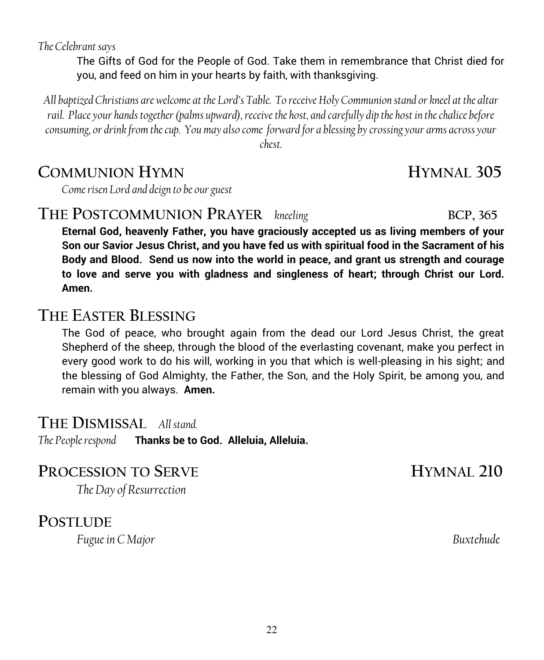*The Celebrant says*

The Gifts of God for the People of God. Take them in remembrance that Christ died for you, and feed on him in your hearts by faith, with thanksgiving.

*All baptized Christians are welcome at the Lord's Table. To receive Holy Communion stand or kneel at the altar rail. Place your hands together (palms upward), receive the host, and carefully dip the host in the chalice before consuming, or drink from the cup. You may also come forward for a blessing by crossing your arms across your chest.*

## **COMMUNION HYMN HYMNAL 305**

*Come risen Lord and deign to be our guest*

### **THE POSTCOMMUNION PRAYER** *kneeling* **BCP, 365**

**Eternal God, heavenly Father, you have graciously accepted us as living members of your Son our Savior Jesus Christ, and you have fed us with spiritual food in the Sacrament of his Body and Blood. Send us now into the world in peace, and grant us strength and courage to love and serve you with gladness and singleness of heart; through Christ our Lord. Amen.**

## **THE EASTER BLESSING**

The God of peace, who brought again from the dead our Lord Jesus Christ, the great Shepherd of the sheep, through the blood of the everlasting covenant, make you perfect in every good work to do his will, working in you that which is well-pleasing in his sight; and the blessing of God Almighty, the Father, the Son, and the Holy Spirit, be among you, and remain with you always. **Amen.**

## **THE DISMISSAL** *All stand.*

*The People respond* **Thanks be to God. Alleluia, Alleluia.**

### **PROCESSION TO SERVE HYMNAL 210**

*The Day of Resurrection*

## **POSTLUDE**

*Fugue in C Major Buxtehude*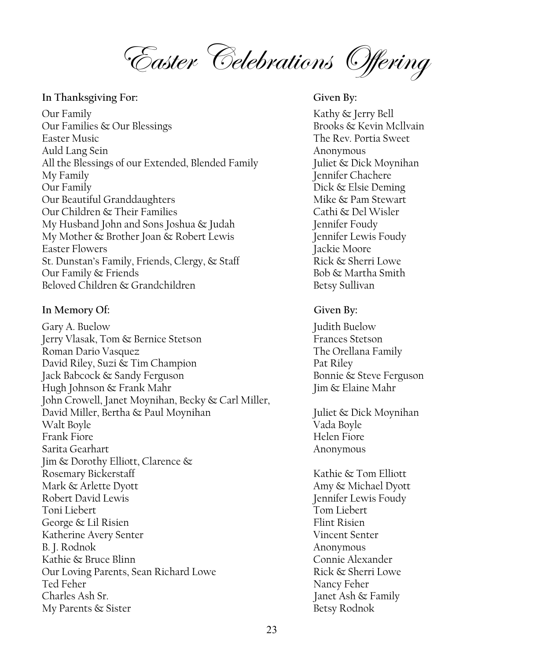Easter Celebrations Offering

#### **In Thanksgiving For: Given By:**

Our Family **Contract Contract Contract Contract Contract Contract Contract Contract Contract Contract Contract Contract Contract Contract Contract Contract Contract Contract Contract Contract Contract Contract Contract Con** Our Families & Our Blessings The Court of Brooks & Kevin Mcllvain Easter Music **The Rev. Portia Sweet** Auld Lang Sein **Anonymous** Anonymous All the Blessings of our Extended, Blended Family Juliet & Dick Moynihan My Family **Jennifer Chachere** Our Family **Dick & Elsie Deming** Our Beautiful Granddaughters Mike & Pam Stewart Our Children & Their Families Cathi & Del Wisler My Husband John and Sons Joshua & Judah Jennifer Foudy My Mother & Brother Joan & Robert Lewis Tennifer Lewis Foudy Easter Flowers **Gaster** Flowers **Jackie Moore** St. Dunstan's Family, Friends, Clergy, & Staff Rick & Sherri Lowe Our Family & Friends Bob & Martha Smith Beloved Children & Grandchildren and Betsy Sullivan

#### In Memory Of: Given By:

Gary A. Buelow **Judith Buelow** Jerry Vlasak, Tom & Bernice Stetson Frances Stetson Roman Dario Vasquez The Orellana Family David Riley, Suzi & Tim Champion Pat Riley Jack Babcock & Sandy Ferguson Bonnie & Steve Ferguson Hugh Johnson & Frank Mahr Jim & Elaine Mahr John Crowell, Janet Moynihan, Becky & Carl Miller, David Miller, Bertha & Paul Moynihan Juliet & Dick Moynihan Walt Boyle Vada Boyle Frank Fiore **Frank Fiore Helen Fiore Helen Fiore Helen** Fiore Sarita Gearhart Anonymous Jim & Dorothy Elliott, Clarence & Rosemary Bickerstaff Kathie & Tom Elliott Mark & Arlette Dyott Amy & Michael Dyott Robert David Lewis Tennifer Lewis Foudy Toni Liebert Tom Liebert George & Lil Risien Flint Risien Katherine Avery Senter Vincent Senter B. J. Rodnok Anonymous Kathie & Bruce Blinn Connie Alexander Our Loving Parents, Sean Richard Lowe Rick & Sherri Lowe Ted Feher Nancy Feher Charles Ash Sr. Janet Ash & Family My Parents & Sister Betsy Rodnok

- 
-